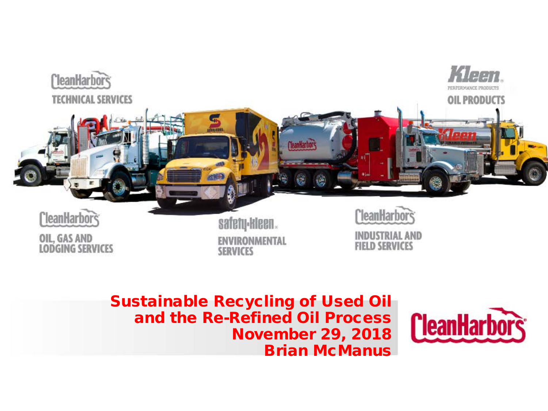

Sustainable Recycling of Used Oil and the Re-Refined Oil Process November 29, 2018 Brian McManus

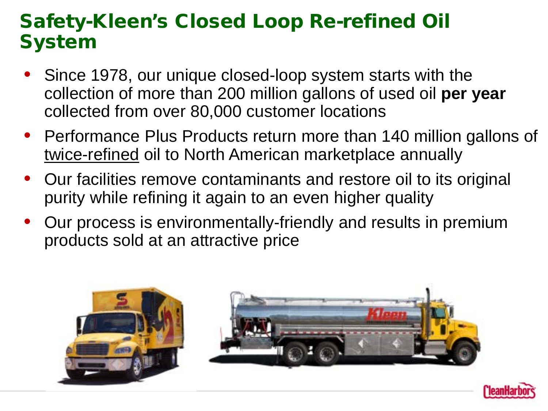### Safety-Kleen's Closed Loop Re-refined Oil System

- Since 1978, our unique closed-loop system starts with the collection of more than 200 million gallons of used oil **per year**  collected from over 80,000 customer locations
- Performance Plus Products return more than 140 million gallons of twice-refined oil to North American marketplace annually
- Our facilities remove contaminants and restore oil to its original purity while refining it again to an even higher quality
- Our process is environmentally-friendly and results in premium products sold at an attractive price



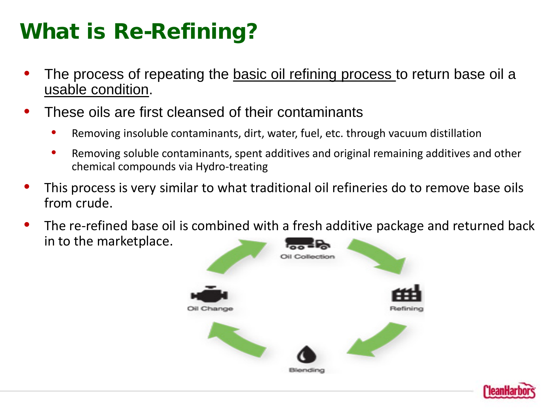# What is Re-Refining?

- The process of repeating the basic oil refining process to return base oil a usable condition.
- These oils are first cleansed of their contaminants
	- Removing insoluble contaminants, dirt, water, fuel, etc. through vacuum distillation
	- Removing soluble contaminants, spent additives and original remaining additives and other chemical compounds via Hydro-treating
- This process is very similar to what traditional oil refineries do to remove base oils from crude.
- The re-refined base oil is combined with a fresh additive package and returned back in to the marketplace.



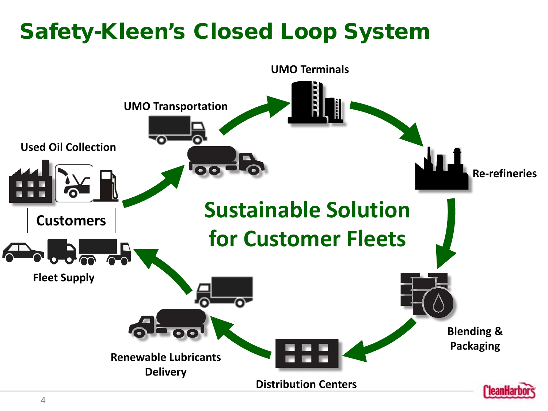# Safety-Kleen's Closed Loop System

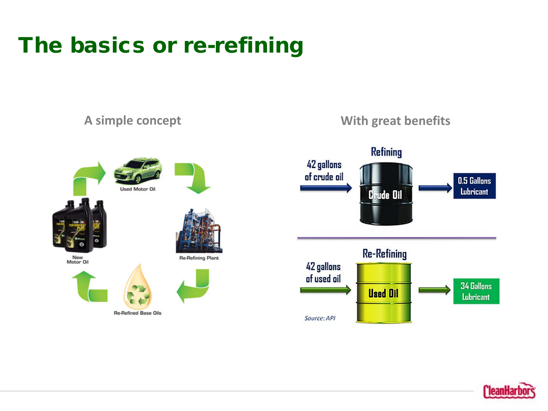# The basics or re-refining



**Re-Refined Base Oils** 





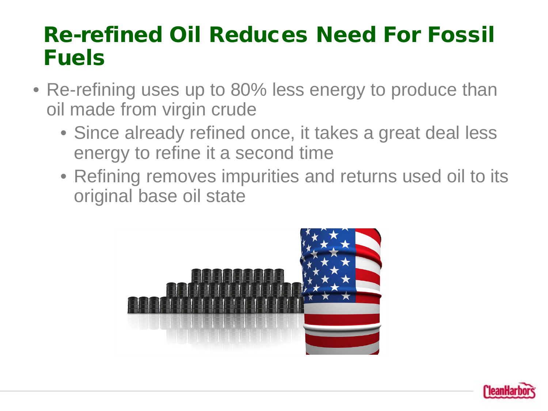### Re-refined Oil Reduces Need For Fossil Fuels

- Re-refining uses up to 80% less energy to produce than oil made from virgin crude
	- Since already refined once, it takes a great deal less energy to refine it a second time
	- Refining removes impurities and returns used oil to its original base oil state



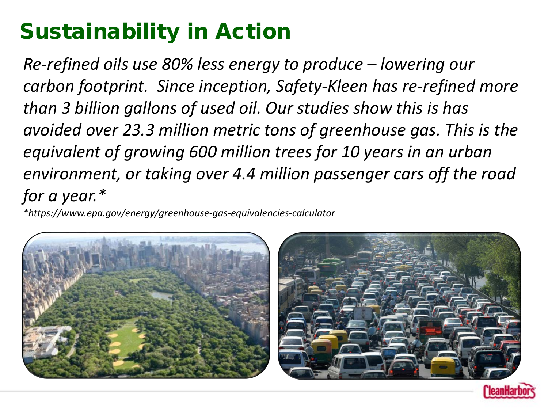# Sustainability in Action

*Re-refined oils use 80% less energy to produce – lowering our carbon footprint. Since inception, Safety-Kleen has re-refined more than 3 billion gallons of used oil. Our studies show this is has avoided over 23.3 million metric tons of greenhouse gas. This is the equivalent of growing 600 million trees for 10 years in an urban environment, or taking over 4.4 million passenger cars off the road for a year.\**

*\*https://www.epa.gov/energy/greenhouse-gas-equivalencies-calculator*



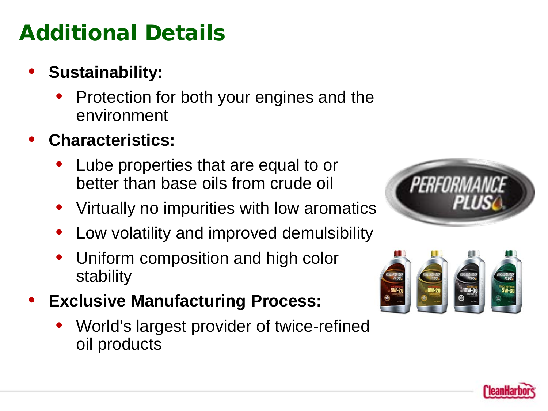# Additional Details

- **Sustainability:**
	- Protection for both your engines and the environment
- **Characteristics:**
	- Lube properties that are equal to or better than base oils from crude oil
	- Virtually no impurities with low aromatics
	- Low volatility and improved demulsibility
	- Uniform composition and high color stability
- **Exclusive Manufacturing Process:**
	- World's largest provider of twice-refined oil products





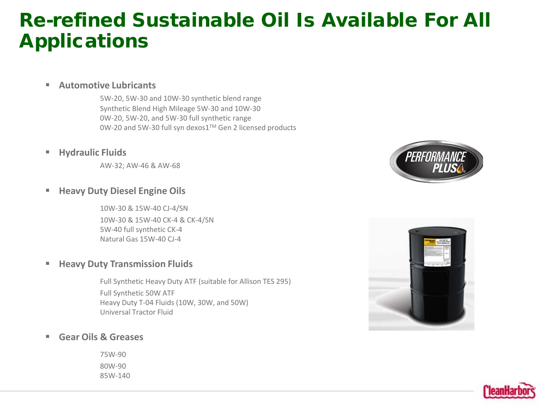### Re-refined Sustainable Oil Is Available For All Applications

**Automotive Lubricants**

5W-20, 5W-30 and 10W-30 synthetic blend range Synthetic Blend High Mileage 5W-30 and 10W-30 0W-20, 5W-20, and 5W-30 full synthetic range 0W-20 and 5W-30 full syn dexos1TM Gen 2 licensed products

**Hydraulic Fluids**

AW-32; AW-46 & AW-68

### **Heavy Duty Diesel Engine Oils**

10W-30 & 15W-40 CJ-4/SN 10W-30 & 15W-40 CK-4 & CK-4/SN 5W-40 full synthetic CK-4 Natural Gas 15W-40 CJ-4

#### **Heavy Duty Transmission Fluids**

Full Synthetic Heavy Duty ATF (suitable for Allison TES 295) Full Synthetic 50W ATF Heavy Duty T-04 Fluids (10W, 30W, and 50W) Universal Tractor Fluid

#### **Gear Oils & Greases**

75W-90 80W-90 85W-140





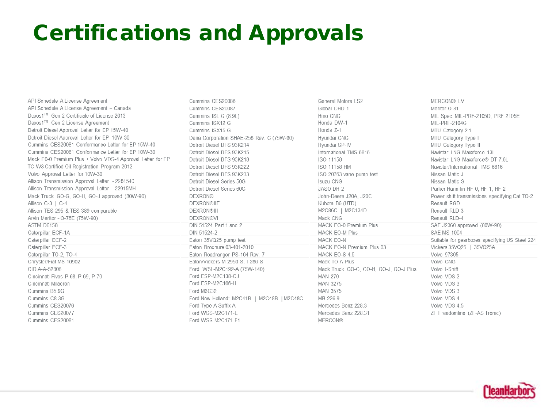# Certifications and Approvals

| API Schedule A License Agreement                            | Cummins CES20086                           | General Motors LS2                     | <b>MERCON® LV</b>                              |
|-------------------------------------------------------------|--------------------------------------------|----------------------------------------|------------------------------------------------|
| API Schedule A License Agreement - Canada                   | Cummins CES20087                           | Global DHD-1                           | Meritor O-81                                   |
| Dexos1™ Gen 2 Certificate of License 2013                   | Cummins ISL G (8.9L)                       | Hino CNG                               | MIL Spec. MIL-PRF-2105D, PRF 2105E             |
| Dexos1™ Gen 2 License Agreement                             | Cummins ISX12 G                            | Honda DW-1                             | MIL-PRF-2104G                                  |
| Detroit Diesel Approval Letter for EP 15W-40                | Cummins ISX15 G                            | Honda Z-1                              | MTU Category 2.1                               |
| Detroit Diesel Approval Letter for EP 10W-30                | Dana Corporation SHAE-256 Rev. C (75W-90)  | Hyundai CNG                            | MTU Category Type I                            |
| Cummins CES20081 Conformance Letter for EP 15W-40           | Detroit Diesel DFS 93K214                  | Hyundai SP-IV                          | MTU Category Type II                           |
| Cummins CES20081 Conformance Letter for EP 10W-30           | Detroit Diesel DFS 93K215                  | International TMS-6816                 | Navistar LNG Maxxforce 13L                     |
| Mack E0-0 Premium Plus + Volvo VDS-4 Approval Letter for EP | Detroit Diesel DFS 93K218                  | ISO 11158                              | Navistar LNG Maxxforce® DT 7.6L                |
| TC-W3 Certified Oil Registration Program 2012               | Detroit Diesel DFS 93K222                  | ISO 11158 HM                           | Navistar/International TMS 6816                |
| Volvo Approval Letter for 10W-30                            | Detroit Diesel DFS 93K233                  | ISO 20763 vane pump test               | Nissan Matic J                                 |
| Allison Transmission Approval Letter - 2281540              | Detroit Diesel Series 50G                  | <b>Isuzu CNG</b>                       | Nissan Matic S                                 |
| Allison Transmission Approval Letter - 22915MH              | Detroit Diesel Series 60G                  | JASO DH-2                              | Parker Hannifin HF-0, HF-1, HF-2               |
| Mack Truck GO-G, GO-H, GO-J approved (80W-90)               | <b>DEXRON®</b>                             | John-Deere J20A, J20C                  | Power shift transmissions specifying Cat TO-2  |
| Allison C-3   C-4                                           | <b>DEXRON®IIE</b>                          | Kubota B6 (UTD)                        | Renault RGD                                    |
| Allison TES-295 & TES-389 comparable                        | <b>DEXRON®III</b>                          | M2C86C   M2C134D                       | Renault RLD-3                                  |
| Arvin Meritor - O-76E (75W-90)                              | <b>DEXRON®VI</b>                           | Mack CNG                               | Renault RLD-4                                  |
| ASTM D6158                                                  | DIN 51524 Part 1 and 2                     | MACK EO-0 Premium Plus                 | SAE J2360 approved (80W-90)                    |
| Caterpillar ECF-1A                                          | DIN 51524-2                                | <b>MACK EO-M Plus</b>                  | <b>SAE MS 1004</b>                             |
| Caterpillar ECF-2                                           | Eaton 35VQ25 pump test                     | <b>MACK EO-N</b>                       | Suitable for gearboxes specifying US Steel 224 |
| Caterpillar ECF-3                                           | Eaton Brochure 03-401-2010                 | MACK EO-N Premium Plus 03              | Vickers 35VQ25   35VQ25A                       |
| Caterpillar TO-2, TO-4                                      | Eaton Roadranger PS-164 Rev. 7             | MACK EO-S 4.5                          | Volvo 97305                                    |
| Chrysler/Fiat MS-10902                                      | Eaton/Vickers M-2950-S. I-286-S            | Mack TO-A Plus                         | Volvo CNG                                      |
| CID A-A-52306                                               | Ford WSL-M2C192-A (75W-140)                | Mack Truck GO-G, GO-H, GO-J, GO-J Plus | Volvo I-Shift                                  |
| Cincinnati Fives P-68, P-69, P-70                           | Ford ESP-M2C138-CJ                         | <b>MAN 270</b>                         | Volvo VDS 2                                    |
| Cincinnati Milacron                                         | Ford ESP-M2C166-H                          | <b>MAN 3275</b>                        | Volvo VDS 3                                    |
| Cummins B5.9G                                               | Ford M6C32                                 | <b>MAN 3575</b>                        | Volvo VDS 3                                    |
| Cummins C8.3G                                               | Ford New Holland: M2C41B   M2C48B   M2C48C | MB 226.9                               | Volvo VDS 4                                    |
| Cummins CES20076                                            | Ford Type A Suffix A                       | Mercedes Benz 228.3                    | Volvo VDS 4.5                                  |
| Cummins CES20077                                            | Ford WSS-M2C171-E                          | Mercedes Benz 228.31                   | ZF Freedomline (ZF-AS Tronic)                  |
| Cummins CES20081                                            | Ford WSS-M2C171-F1                         | <b>MERCON®</b>                         |                                                |

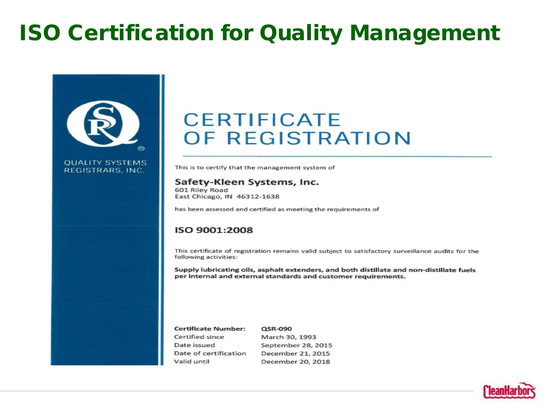# ISO Certification for Quality Management



**OUALITY SYSTEMS** 

REGISTRARS, INC.

### **CERTIFICATE** OF REGISTRATION

This is to certify that the management system of

#### Safety-Kleen Systems, Inc.

601 Riley Road East Chicago, IN 46312-1638

has been assessed and certified as meeting the requirements of

#### ISO 9001:2008

This certificate of registration remains valid subject to satisfactory surveillance audits for the following activities:

Supply lubricating oils, asphalt extenders, and both distillate and non-distillate fuels per internal and external standards and customer requirements.

| <b>Certificate Number:</b> | QSR-090            |
|----------------------------|--------------------|
| Certified since            | March 30, 1993     |
| Date issued                | September 28, 2015 |
| Date of certification      | December 21, 2015  |
| Valid until                | December 20, 2018  |

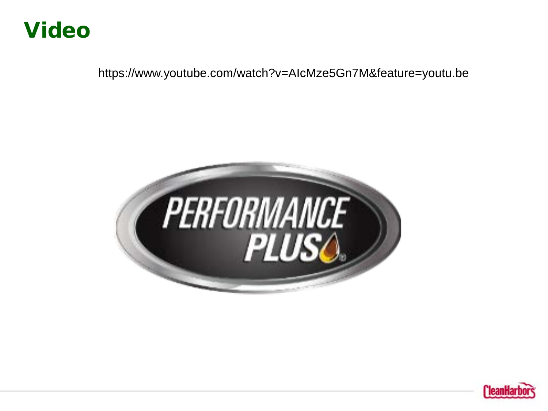### Video

https://www.youtube.com/watch?v=AIcMze5Gn7M&feature=youtu.be